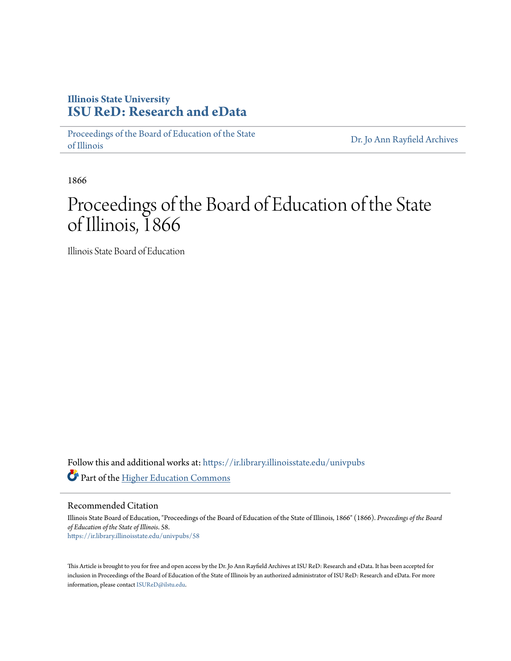### **Illinois State University [ISU ReD: Research and eData](https://ir.library.illinoisstate.edu?utm_source=ir.library.illinoisstate.edu%2Funivpubs%2F58&utm_medium=PDF&utm_campaign=PDFCoverPages)**

[Proceedings of the Board of Education of the State](https://ir.library.illinoisstate.edu/univpubs?utm_source=ir.library.illinoisstate.edu%2Funivpubs%2F58&utm_medium=PDF&utm_campaign=PDFCoverPages) [of Illinois](https://ir.library.illinoisstate.edu/univpubs?utm_source=ir.library.illinoisstate.edu%2Funivpubs%2F58&utm_medium=PDF&utm_campaign=PDFCoverPages)

[Dr. Jo Ann Rayfield Archives](https://ir.library.illinoisstate.edu/arch?utm_source=ir.library.illinoisstate.edu%2Funivpubs%2F58&utm_medium=PDF&utm_campaign=PDFCoverPages)

1866

## Proceedings of the Board of Education of the State of Illinois, 1866

Illinois State Board of Education

Follow this and additional works at: [https://ir.library.illinoisstate.edu/univpubs](https://ir.library.illinoisstate.edu/univpubs?utm_source=ir.library.illinoisstate.edu%2Funivpubs%2F58&utm_medium=PDF&utm_campaign=PDFCoverPages) Part of the [Higher Education Commons](http://network.bepress.com/hgg/discipline/1245?utm_source=ir.library.illinoisstate.edu%2Funivpubs%2F58&utm_medium=PDF&utm_campaign=PDFCoverPages)

Recommended Citation

Illinois State Board of Education, "Proceedings of the Board of Education of the State of Illinois, 1866" (1866). *Proceedings of the Board of Education of the State of Illinois*. 58. [https://ir.library.illinoisstate.edu/univpubs/58](https://ir.library.illinoisstate.edu/univpubs/58?utm_source=ir.library.illinoisstate.edu%2Funivpubs%2F58&utm_medium=PDF&utm_campaign=PDFCoverPages)

This Article is brought to you for free and open access by the Dr. Jo Ann Rayfield Archives at ISU ReD: Research and eData. It has been accepted for inclusion in Proceedings of the Board of Education of the State of Illinois by an authorized administrator of ISU ReD: Research and eData. For more information, please contact [ISUReD@ilstu.edu.](mailto:ISUReD@ilstu.edu)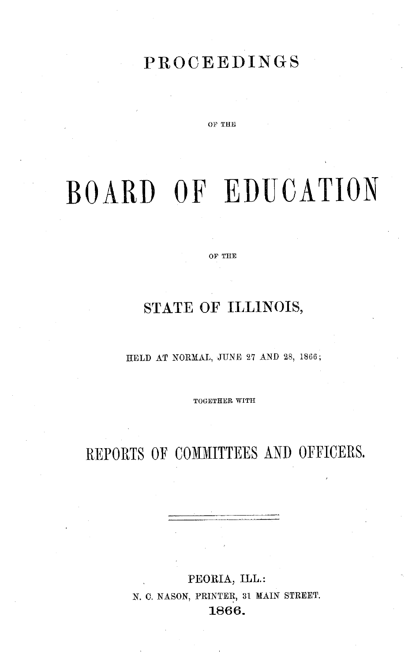### **PROCEEDINGS**

OF THE

# BOARD OF EDUCATION

OF THE

### STATE **OF ILLINOIS,**

**HELD** AT NORMAL, JUNE 27 AND 28, 1866;

TOGETHER WITH

### REPORTS OF COMMITTEES AND OFFICERS.

**PEORIA, ILL.:** N. **C.** NASON, PRINTER, 31 MAIN STREET. **1866.**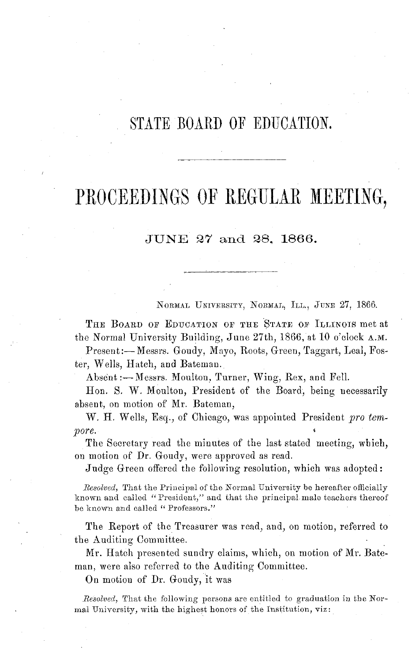### STATE BOARD OF EDUCATION.

## PROCEEDINGS OF REGULAR **MEETING,**

### JUNE 27 **and** 28, **1866.**

NORMAL UNIVERSITY, NORMAL, ILL., JUNE 27, 1866.

THE BOARD OF EDUCATION OF THE STATE OF ILLINOIS met at the Normal University Building, June 27th, 1866, at 10 o'clock A.M.

Present:-Messrs. Goudy, Mayo, Roots, Green, Taggart, Leal, Foster, Wells, Hatch, and Bateman.

Absent:- Messrs. Moulton, Turner, Wing, Rex, and Fell.

Hon. S. W. Moulton, President of the Board, being necessarily absent, on motion of Mr. Bateman,

W. H. Wells, Esq., of Chicago, was appointed President *pro tempore.*

The Secretary read the minutes of the last stated meeting, which, on motion of Dr. Goudy, were approved as read.

Judge Green offered the following resolution, which was adopted:

*Resolved,* That the Principal of the Normal University be hereafter officially known and called "President," and that the principal male teachers thereof be known and called *"* Professors."

The Report of the Treasurer was read, and, on motion, referred to the Auditing Committee.

Mr. Hatch presented sundry claims, which, on motion of Mr. Bateman, were also referred to the Auditing Committee.

On motion of Dr. Goudy, it was

*Resolved,* That the following persons are entitled to graduation in the Normal University, with the highest honors of the Institution, viz: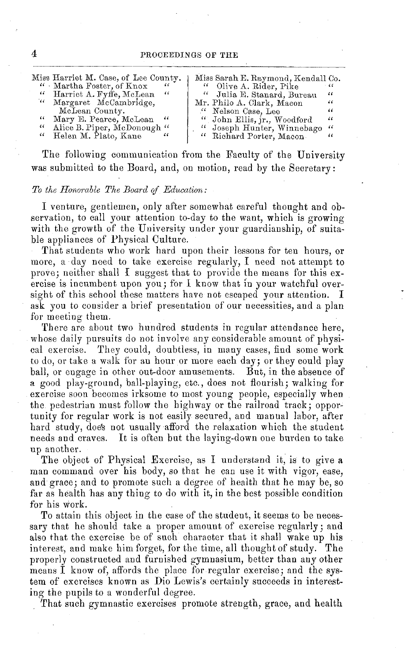| " Martha Foster, of Knox<br>" Olive A. Rider, Pike<br>"<br>$-66$<br>" Harriet A. Fyffe, McLean<br>" Julia E. Stanard, Bureau<br>- 66<br>$\epsilon$<br>" Margaret McCambridge,<br>Mr. Philo A. Clark, Macon<br>"<br>McLean County.<br>" Nelson Case, Lee<br>44<br>"<br>Mary E. Pearce, McLean "<br>" John Ellis, jr., Woodford<br>$\epsilon$<br>Alice B. Piper, McDonough "<br>"<br>" Joseph Hunter, Winnebago<br>$\sqrt{6}$<br>" Richard Porter, Macon<br>Helen M. Plato, Kane<br>$\epsilon$<br>"<br>" |  |  | Miss Harriet M. Case, of Lee County. |  | Miss Sarah E. Raymond, Kendall Co. |  |
|--------------------------------------------------------------------------------------------------------------------------------------------------------------------------------------------------------------------------------------------------------------------------------------------------------------------------------------------------------------------------------------------------------------------------------------------------------------------------------------------------------|--|--|--------------------------------------|--|------------------------------------|--|
|--------------------------------------------------------------------------------------------------------------------------------------------------------------------------------------------------------------------------------------------------------------------------------------------------------------------------------------------------------------------------------------------------------------------------------------------------------------------------------------------------------|--|--|--------------------------------------|--|------------------------------------|--|

The following communication from the Faculty of the University was submitted to the Board, and, on motion, read by the Secretary:

#### *To the Honorable The Board of Education:*

I venture, gentlemen, only after somewhat careful thought and observation, to call your attention to-day to the want, which is growing with the growth of the University under your guardianship, of suitable appliances of Physical Culture.

That students who work hard upon their lessons for ten hours, or more, a day need to take exercise regularly, I need not attempt to prove; neither shall I suggest that to provide the means for this exercise is incumbent upon you; for I know that in your watchful oversight of this school these matters have not escaped your attention. I ask you to consider a brief presentation of our necessities, and a plan for meeting them.

There are about two hundred students in regular attendance here, whose daily pursuits do not involve any considerable amount of physical exercise. They could, doubtless, in many cases, find some work to do, or take a walk for an hour or more each day; or they could play ball, or engage in other out-door amusements. But, in the absence of a good play-ground, ball-playing, etc., does not flourish; walking for exercise soon becomes irksome to most young people, especially when the pedestrian must follow the highway or the railroad track; opportunity for regular work is not easily secured, and manual labor, after hard study, does not usually afford the relaxation which the student needs and craves. It is often but the laying-down one burden to take up another.

The object of Physical Exercise, as I understand it, is to give a man command over his body, so that he can use it with vigor, ease, and grace; and to promote such a degree of health that he may be, so far as health has any thing to do with it, in the best possible condition for his work.

To attain this object in the case of the student, it seems to be necessary that he should take a proper amount of exercise regularly; and also that the exercise be of such character that it shall wake up his interest, and make him forget, for the time, all thought of study. The properly constructed and furnished gymnasium, better than any other means I know of, affords the place for regular exercise; and the system of exercises known as Dio Lewis's certainly succeeds in interesting the pupils to a wonderful degree.

That such gymnastic exercises promote strength, grace, and health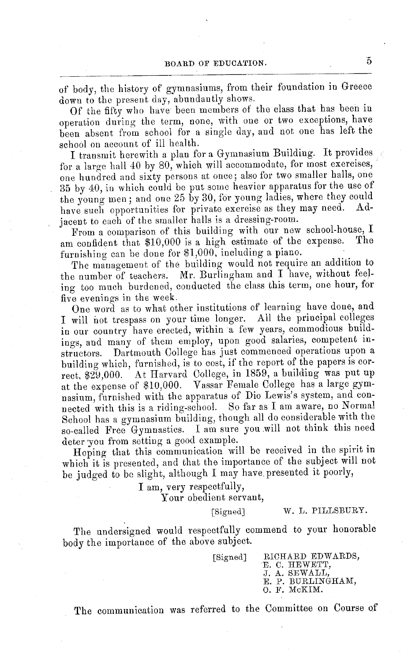of body, the history of gymnasiums, from their foundation in Greece down to the present day, abundantly shows.

Of the fifty who have been members of the class that has been in operation during the term, none, with one or two exceptions, have been absent from school for a single day, and not one has left the school on account of ill health.

I transmit herewith a plan for a Gymnasium Building. It provides for a large hall 40 by 80, which will accommodate, for most exercises, one hundred and sixty persons at once; also for two smaller halls, one 35 by 40, in which could be put some heavier apparatus for the use of the young men; and one 25 by 30, for young ladies, where they could<br>have angle opportunities for private exercise as they may need. Adhave such opportunities for private exercise as they may need. jacent to each of the smaller halls is a dressing-room.

From a comparison of this building with our new school-house, I<br>a confident that \$10,000 is a high estimate of the expense. The am confident that  $$10,000$  is a high estimate of the expense. furnishing can be done for \$1,000, including a piano.

The management of the building would not require an addition to the number of teachers. Mr. Burlingham and I have, without feeling too much burdened, conducted the class this term, one hour, for five evenings in the week.

One word as to what other institutions of learning have done, and I will not trespass on your time longer. All the principal colleges in our country have erected, within a few years, commodious buildings, and many of them employ, upon good salaries, competent instructors. Dartmouth College has just commenced operations upon a building which, furnished, is to cost, if the report of the papers is correct, \$29,000. At Harvard College, in 1859, a building was put up at the expense of \$10,000. Vassar Female College has a large gymnasium, furnished with the apparatus of Dio Lewis's system, and connected with this is a riding-school. So far as I am aware, no Normal School has a gymnasium building, though all do considerable with the so-called Free Gymnastics. I am sure you will not think this need deter you from setting a good example.

Hoping that this communication will be received in the spirit in which it is presented, and that the importance of the subject will not be judged to be slight, although I may have presented it poorly,

> I am, very respectfully, Your obedient servant,

> > [Signed] W. L. PILLSBURY.

The undersigned would respectfully commend to your honorable body the importance of the above subject.

[Signed] RICHARD EDWARDS, E. C. HEWETT,<br>J. A. SEWALL,<br>E. P. BURLINGHAM<br>O. F. McKIM.

The communication was referred to the Committee on Course of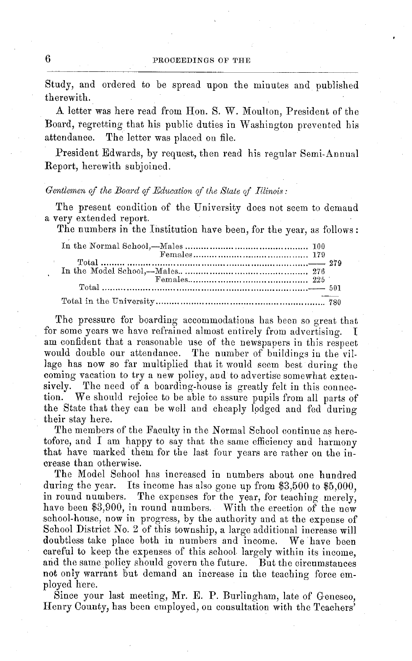Study, and ordered to be spread upon the minutes and published therewith.

A letter was here read from Hon. S. W. Moulton, President of the Board, regretting that his public duties in Washington prevented his attendance. The letter was placed on file.

President Edwards, by request, then read his regular Semi-Annual Report, herewith subjoined.

#### *Gentlemen of the Board of Education of the State of Illinois:*

The present condition of the University does not seem to demand a very extended report.

The numbers in the Institution have been, for the year, as follows:

The pressure for boarding accommodations has been so great that for some years we have refrained almost entirely from advertising. I am confident that a reasonable use of the newspapers in this respect would double our attendance. The number of buildings in the village has now so far multiplied that it would seem best during the coming vacation to try a new policy, and to advertise somewhat exten-<br>sively. The need of a boarding-house is greatly felt in this connection. We should rejoice to be able to assure pupils from all parts of the State that they can be well and cheaply lodged and fed during their stay here.

The members of the Faculty in the Normal School continue as heretofore, and I am happy to say that the same efficiency and harmony that have marked them for the last four years are rather on the in- crease than otherwise.

The Model School has increased in numbers about one hundred during the year. Its income has also gone up from \$3,500 to \$5,000, in round numbers. The expenses for the year, for teaching merely, have been \$3,900, in round numbers. With the erection of the new school-house, now in progress, by the authority and at the expense of School District No. 2 of this township, a large additional increase will doubtless take place both in numbers and income. We have been careful to keep the expenses of this school largely within its income, and the same policy should govern the future. But the circumstances not only warrant but demand an increase in the teaching force em- ployed here.

Since your last meeting, Mr. E. P. Burlingham, late of Geneseo, Henry County, has been employed, on consultation with the Teachers'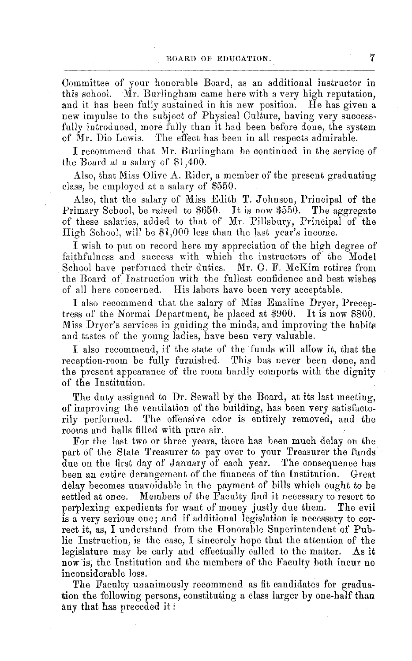Committee of your honorable Board, as an additional instructor in this school. Mr. Burlingham came here with a very high reputation, and it has been fully sustained in his new position. He has given a new impulse to the subject of Physical Culture, having very successfully introduced, more fully than it had been before done, the system of Mr. Dio Lewis. The effect has been in all respects admirable. The effect has been in all respects admirable.

I recommend that Mr. Burlingham be continued in the service of the Board at a salary of \$1,400.

Also, that Miss Olive A. Rider, a member of the present graduating class, be employed at a salary of \$550.

Also, that the salary of Miss Edith T. Johnson, Principal of the Primary School, be raised to \$650. It is now \$550. The aggregate of these salaries, added to that of Mr. Pillsbury, Principal of the High School, will be \$1,000 less than the last year's income.

I wish to put on record here my appreciation of the high degree of faithfulness and success with which the instructors of the Model School have performed their duties. Mr. O. F. McKim retires from the Board of Instruction with the fullest confidence and best wishes of all here concerned. His labors have been very acceptable.

I also recommend that the salary of Miss Emaline Dryer, Preceptress of the Normal Department, be placed at \$900. It is now \$800. Miss Dryer's services in guiding the minds, and improving the habits and tastes of the young ladies, have been very valuable.

I also recommend, if the state of the funds will allow it, that the reception-room be fully furnished. This has never been done, and the present appearance of the room hardly comports with the dignity of the Institution.

The duty assigned to Dr. Sewall by the Board, at its last meeting, of improving the ventilation of the building, has been very satisfactorily performed. The offensive odor is entirely removed, and the rooms and halls filled with pure air.

For the last two or three years, there has been much delay on the part of the State Treasurer to pay over to your Treasurer the funds due on the first day of January of each year. The consequence has been an entire derangement of the finances of the Institution. Great delay becomes unavoidable in the payment of bills which ought to be settled at once. Members of the Faculty find it necessary to resort to<br>perplexing expedients for want of money justly due them. The evil perplexing expedients for want of money justly due them. is a very serious one; and if additional legislation is necessary to correct it, as, I understand from the Honorable Superintendent of Public Instruction, is the case, I sincerely hope that the attention of the legislature may be early and effectually called to the matter. As it now is, the Institution and the members of the Faculty both incur no inconsiderable loss.

The Faculty unanimously recommend as fit candidates for graduation the following persons, constituting a class larger by one-half than any that has preceded it: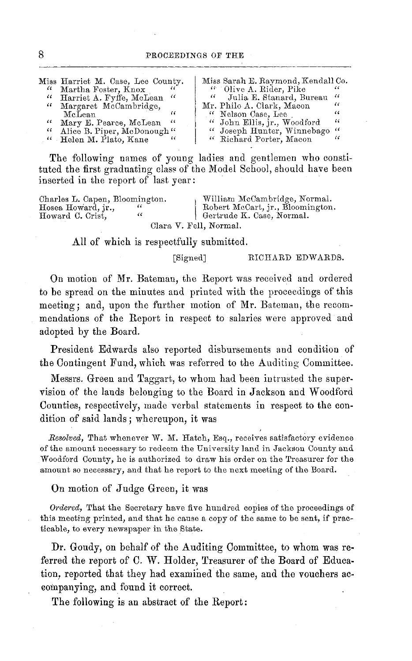| " | Miss Harriet M. Case, Lee County.<br>" Martha Foster, Knox<br>" Harriet A. Fyffe, McLean "<br>" Margaret McCambridge,<br>McLean<br>" Mary E. Pearce, McLean "<br>Alice B. Piper, McDonough"<br>" Helen M. Plato, Kane | " | Miss Sarah E. Raymond, Kendall Co.<br>" Olive A. Rider, Pike<br>" Julia E. Stanard, Bureau "<br>Mr. Philo A. Clark, Macon<br>" Nelson Case, Lee<br>" John Ellis, jr., Woodford<br>" Joseph Hunter, Winnebago"<br>" Richard Porter, Macon | $\epsilon$<br>"<br>"<br>" |
|---|-----------------------------------------------------------------------------------------------------------------------------------------------------------------------------------------------------------------------|---|------------------------------------------------------------------------------------------------------------------------------------------------------------------------------------------------------------------------------------------|---------------------------|
|   |                                                                                                                                                                                                                       |   |                                                                                                                                                                                                                                          |                           |

The following names of young ladies and gentlemen who constituted the first graduating class of the Model School, should have been inserted in the report of last year:

| Charles L. Capen, Bloomington. | William McCambridge, Normal.     |
|--------------------------------|----------------------------------|
| Hosea Howard, ir.,             | Robert McCart, jr., Bloomington. |
| Howard C. Crist.<br>"          | Gertrude K. Case, Normal.        |
|                                | Clara V. Fell, Normal.           |

All of which is respectfully submitted.

#### [Signed] RICHARD EDWARDS.

On motion of Mr. Bateman, the Report was received and ordered to be spread on the minutes and printed with the proceedings of this meeting; and, upon the further motion of Mr. Bateman, the recommendations of the Report in respect to salaries were approved and adopted by the Board.

President Edwards also reported disbursements and condition of the Contingent Fund, which was referred to the Auditing Committee.

Messrs. Green and Taggart, to whom had been intrusted the supervision of the lands belonging to the Board in Jackson and Woodford Counties, respectively, made verbal statements in respect to the condition of said lands; whereupon, it was

*Resolved,* That whenever W. M. Hatch, Esq., receives satisfactory evidence of the amount necessary to redeem the University land in Jackson County and Woodford County, he is authorized to draw his order on the Treasurer for the amount so necessary, and that he report to the next meeting of the Board.

On motion of Judge Green, it was

*Ordered,* That the Secretary have five hundred copies of the proceedings of this meeting printed, and that he cause a copy of the same to be sent, if practicable, to every newspaper in the State.

Dr. Goudy, on behalf of the Auditing Committee, to whom was referred the report of C. W. Holder, Treasurer of the Board of Education, reported that they had examined the same, and the vouchers accompanying, and found it correct.

The following is an abstract of the Report: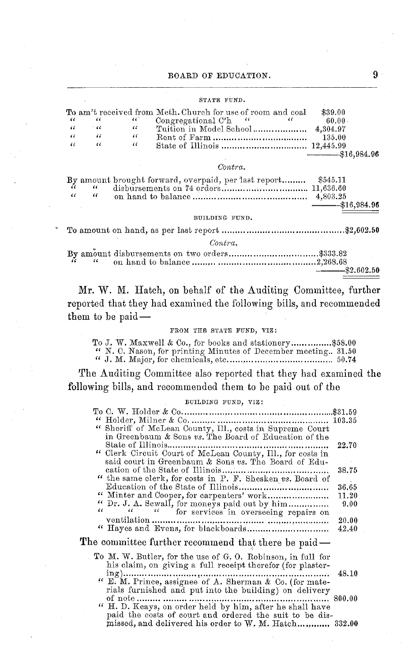#### STATE FUND.

|            |      |     | To am't received from Meth. Church for use of room and coal | \$39.00         |
|------------|------|-----|-------------------------------------------------------------|-----------------|
| - 66       |      | 467 | Congregational C'h "                                        | 60.00           |
| - 66       | - 44 | "   |                                                             |                 |
| $\epsilon$ | "    | "   |                                                             | 135.00          |
| $\sqrt{6}$ | "    | 44  |                                                             |                 |
|            |      |     |                                                             | $-$ \$16,984.96 |

#### *Contra.*

|            |            | By amount brought forward, overpaid, per last report \$545.11 |                 |
|------------|------------|---------------------------------------------------------------|-----------------|
| $\epsilon$ | $\epsilon$ |                                                               |                 |
|            |            |                                                               | $-$ \$16,984.96 |

BUILDING FUND.

To amount on hand, as per last report .... \$.......................................\$2,602.50 *Contra.*

|  |  |  |  | $ -$ \$2.602.50 |  |
|--|--|--|--|-----------------|--|

Mr. **W.** M. Hatch, on behalf of the Auditing Committee, further reported that they had examined the following bills, and recommended them to be paid-

#### FROM THE STATE FUND, VIZ:

|  | To J. W. Maxwell & Co., for books and stationery\$58.00       |  |
|--|---------------------------------------------------------------|--|
|  | " N. C. Nason, for printing Minutes of December meeting 31.50 |  |
|  |                                                               |  |

The Auditing Committee also reported that they had examined **the** following bills, and recommended them to be paid out of the

#### BUILDING FUND, VIZ:

| " Sheriff of McLean County, Ill., costs in Supreme Court                                    |  |
|---------------------------------------------------------------------------------------------|--|
| in Greenbaum & Sons vs. The Board of Education of the                                       |  |
| 22.70                                                                                       |  |
| " Clerk Circuit Court of McLean County, Ill., for costs in                                  |  |
| said court in Greenbaum & Sons vs. The Board of Edu-                                        |  |
| 38.75                                                                                       |  |
| " the same clerk, for costs in P. F. Shesken vs. Board of                                   |  |
| 36.65                                                                                       |  |
| 11.20                                                                                       |  |
| " Dr. J. A. Sewall, for moneys paid out by him<br>9.00                                      |  |
| "<br>$\epsilon \epsilon$ . The set of $\epsilon$<br>" for services in overseeing repairs on |  |
| 20.00                                                                                       |  |
| 42.40                                                                                       |  |
| The committee further recommend that there be paid —                                        |  |
| To M. W. Butler, for the use of G. O. Robinson, in full for                                 |  |
| his claim, on giving a full receipt therefor (for plaster-                                  |  |
| 48.10                                                                                       |  |
| $\lq\lq$ E. M. Prince, assignee of A. Sherman & Co. (for mate-                              |  |
|                                                                                             |  |
| $\ldots\  \, 800.00$                                                                        |  |
| " H. D. Keays, on order held by him, after he shall have                                    |  |
| paid the costs of court and ordered the suit to be dis-                                     |  |
| missed, and delivered his order to W. M. Hatch 332.00                                       |  |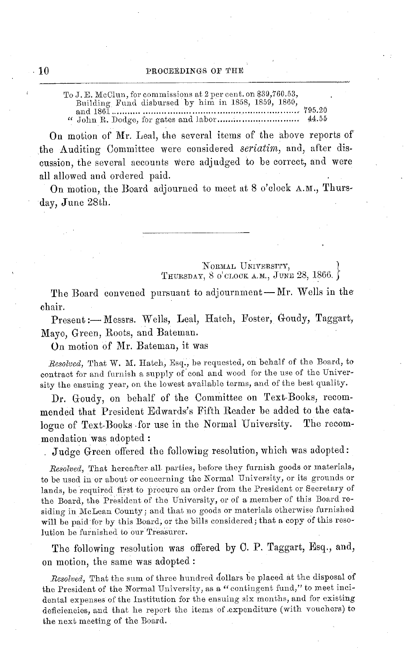To J. E. McClun, for commissions at 2 per cent. on \$39,760.53, Building Fund disbursed by him in 1858, 1859, 1860, and 1861 ....................... ....... 795.20 " John R. Dodge, for gates and labor............................. 44.55

On motion of Mr. Leal, the several items of the above reports of the Auditing Committee were considered *seriatim,* and, after discussion, the several accounts were adjudged to be correct, and were all allowed and ordered paid.

On motion, the Board adjourned to meet at 8 o'clock A.M., Thursday, June 28th.

#### NORMAL UNIVERSITY, THURSDAY, 8 O'CLOCK A.M., JUNE 28, 1866. X

The Board convened pursuant to adjournment-Mr. Wells in the chair.

Present:- Messrs. Wells, Leal, Hatch, Foster, Goudy, Taggart, Mayo, Green, Roots, and Bateman.

On motion of Mr. Bateman, it was

*Resolved,* That W. M. Hatch, Esq., be requested, on behalf of the Board, to contract for and furnish a supply of coal and wood for the use of the University the ensuing year, on the lowest available terms, and of the best quality.

Dr. Goudy, on behalf of the Committee on Text-Books, recommended that President Edwards's Fifth Reader be added to the catalogue of Text-Books for use in the Normal University. The recommendation was adopted:

Judge Green offered the following resolution, which was adopted:

*Resolved,* That hereafter all parties, before they furnish goods or materials, to be used in or about or concerning the Normal University, or its grounds or lands, be required first to procure an order from the President or Secretary of the Board, the President of the University, or of a member of this Board residing in McLean County; and that no goods or materials otherwise furnished will be paid for by this Board, or the bills considered; that a copy of this resolution be furnished to our Treasurer.

The following resolution was offered by C. P. Taggart, Esq., and, on motion, the same was adopted:

Resolved, That the sum of three hundred dollars be placed at the disposal of the President of the Normal University, as a " contingent fund," to meet incidental expenses of the Institution for the ensuing six months, and for existing deficiencies, and that he report the items of .expenditure (with vouchers) to the next meeting of the Board.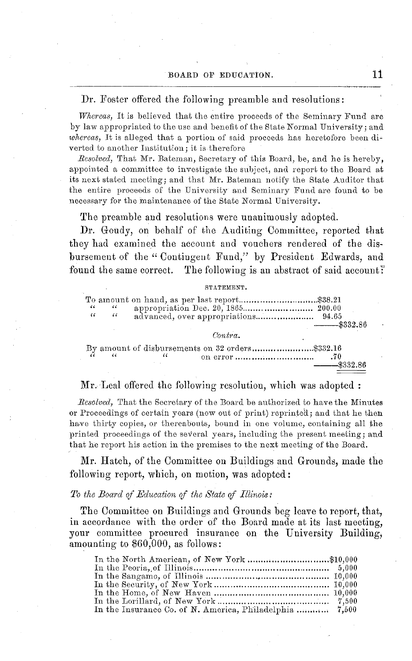#### Dr. Foster offered the following preamble and resolutions:

*Whereas,* It is believed that the entire proceeds of the Seminary Fund are by law appropriated to the use and benefit of the State Normal University; and *whereas,* It is alleged that a portion of said proceeds has heretofore been diverted to another Institution; it is therefore

*Resolved,* That Mr. Bateman, Secretary of this Board, be, and he is hereby, appointed a committee to investigate the subject, and report to the Board at its next stated meeting; and that Mr. Bateman notify the State Auditor that the entire proceeds of the University and Seminary Fund are found to be necessary for the maintenance of the State Normal University.

The preamble and resolutions were unanimously adopted.

**Dr.** Goudy, on behalf of the Auditing Committee, reported that they had examined the account and vouchers rendered of the disbursement of the **"** Contingent Fund," by President Edwards, and found the same correct. The following is an abstract of said account?

#### STATEMENT.

| 46<br>$\alpha$ | $\epsilon$<br>$\epsilon$ | appropriation Dec. 20, 1865 200.00 | $-$ \$332.86   |
|----------------|--------------------------|------------------------------------|----------------|
|                |                          | Contra.                            |                |
|                |                          | "                                  | <b>4229 86</b> |

#### Mr. Leal offered the following resolution, which was adopted:

*Resolved,* That the Secretary of the Board be authorized to have the Minutes or Proceedings of certain years (now out of print) reprinted; and that he then have thirty copies, or thereabouts, bound in one volume, containing all the printed proceedings of the several years, including the present meeting; and that he report his action in the premises to the next meeting of the Board.

Mr. Hatch, of the Committee on Buildings and Grounds, made the following report, which, on motion, was adopted:

#### *To the Board of Education of the State of Illinois:*

The Committee on Buildings and Grounds beg leave to report, that, in accordance with the order of the Board made at its last meeting, your committee procured insurance on the University Building, amounting to \$60,000, as follows:

| In the North American, of New York \$10,000             |  |
|---------------------------------------------------------|--|
|                                                         |  |
|                                                         |  |
|                                                         |  |
|                                                         |  |
|                                                         |  |
| In the Insurance Co. of N. America, Philadelphia  7,500 |  |